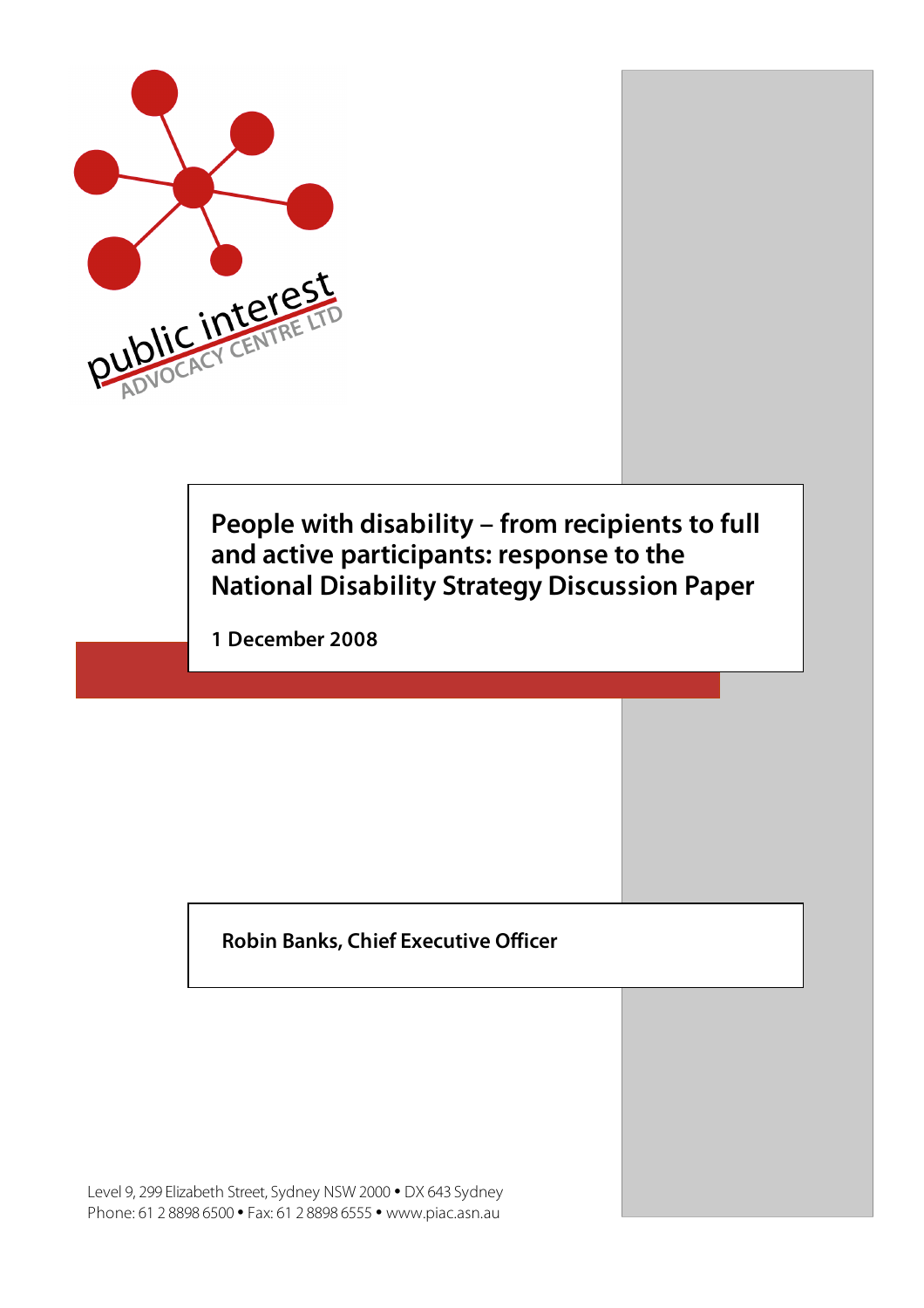

## **People with disability – from recipients to full and active participants: response to the National Disability Strategy Discussion Paper**

**1 December 2008**

**Robin Banks, Chief Executive Officer**

Level 9, 299 Elizabeth Street, Sydney NSW 2000 • DX 643 Sydney Phone: 61 2 8898 6500 • Fax: 61 2 8898 6555 • www.piac.asn.au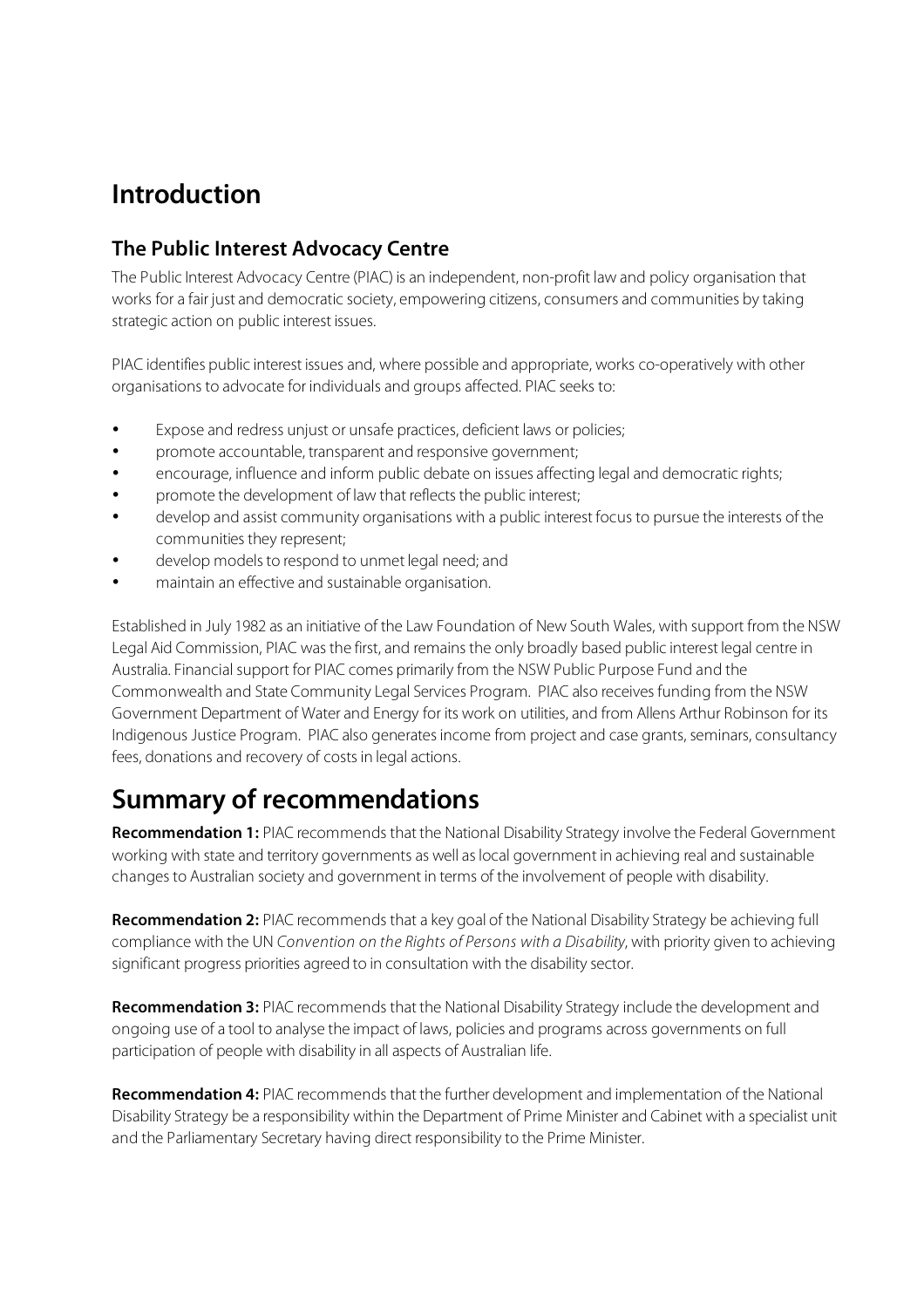# **Introduction**

## **The Public Interest Advocacy Centre**

The Public Interest Advocacy Centre (PIAC) is an independent, non-profit law and policy organisation that works for a fair just and democratic society, empowering citizens, consumers and communities by taking strategic action on public interest issues.

PIAC identifies public interest issues and, where possible and appropriate, works co-operatively with other organisations to advocate for individuals and groups affected. PIAC seeks to:

- Expose and redress unjust or unsafe practices, deficient laws or policies;
- promote accountable, transparent and responsive government;
- encourage, influence and inform public debate on issues affecting legal and democratic rights;
- promote the development of law that reflects the public interest;
- develop and assist community organisations with a public interest focus to pursue the interests of the communities they represent;
- develop models to respond to unmet legal need; and
- maintain an effective and sustainable organisation.

Established in July 1982 as an initiative of the Law Foundation of New South Wales, with support from the NSW Legal Aid Commission, PIAC was the first, and remains the only broadly based public interest legal centre in Australia. Financial support for PIAC comes primarily from the NSW Public Purpose Fund and the Commonwealth and State Community Legal Services Program. PIAC also receives funding from the NSW Government Department of Water and Energy for its work on utilities, and from Allens Arthur Robinson for its Indigenous Justice Program. PIAC also generatesincome from project and case grants, seminars, consultancy fees, donations and recovery of costs in legal actions.

# **Summary of recommendations**

**Recommendation 1:** PIAC recommends that the National Disability Strategy involve the Federal Government working with state and territory governments as well aslocal government in achieving real and sustainable changesto Australian society and government in terms of the involvement of people with disability.

**Recommendation 2:** PIAC recommends that a key goal of the National Disability Strategy be achieving full compliance with the UN Convention on the Rights of Persons with a Disability, with priority given to achieving significant progress priorities agreed to in consultation with the disability sector.

**Recommendation 3:** PIAC recommends that the National Disability Strategy include the development and ongoing use of a tool to analyse the impact of laws, policies and programs across governments on full participation of people with disability in all aspects of Australian life.

**Recommendation 4:** PIAC recommends that the further development and implementation of the National Disability Strategy be a responsibility within the Department of Prime Minister and Cabinet with a specialist unit and the Parliamentary Secretary having direct responsibility to the Prime Minister.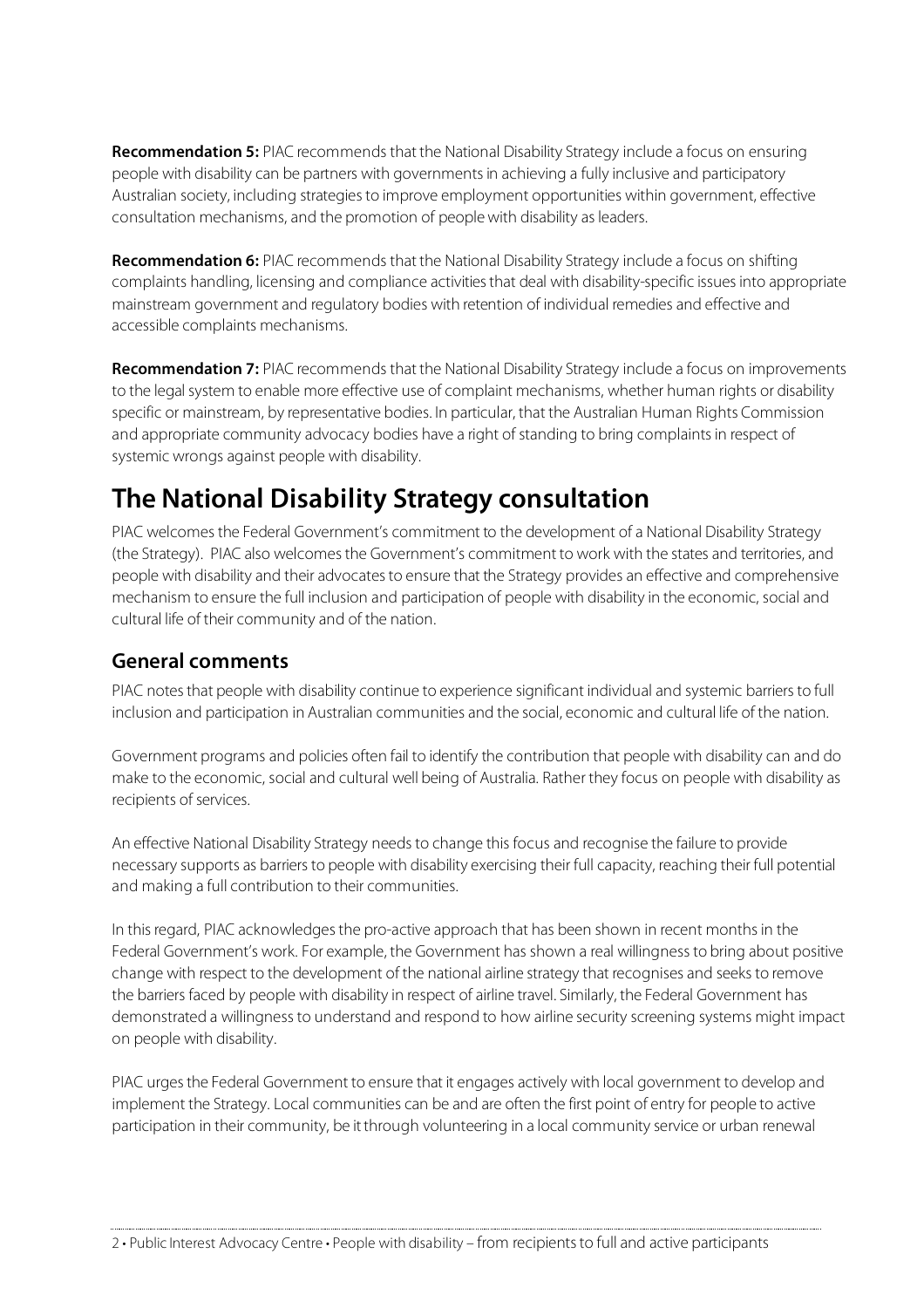**Recommendation 5:** PIAC recommends that the National Disability Strategy include a focus on ensuring people with disability can be partners with governmentsin achieving a fully inclusive and participatory Australian society, including strategiesto improve employment opportunities within government, effective consultation mechanisms, and the promotion of people with disability asleaders.

**Recommendation 6:** PIAC recommends that the National Disability Strategy include a focus on shifting complaints handling, licensing and compliance activitiesthat deal with disability-specific issuesinto appropriate mainstream government and regulatory bodies with retention of individual remedies and effective and accessible complaints mechanisms.

**Recommendation 7:** PIAC recommends that the National Disability Strategy include a focus on improvements to the legal system to enable more effective use of complaint mechanisms, whether human rights or disability specific or mainstream, by representative bodies. In particular, that the Australian Human Rights Commission and appropriate community advocacy bodies have a right of standing to bring complaints in respect of systemic wrongs against people with disability.

# **The National Disability Strategy consultation**

PIAC welcomes the Federal Government's commitment to the development of a National Disability Strategy (the Strategy). PIAC also welcomesthe Government's commitment to work with the states and territories, and people with disability and their advocatesto ensure that the Strategy provides an effective and comprehensive mechanism to ensure the full inclusion and participation of people with disability in the economic, social and cultural life of their community and of the nation.

### **General comments**

PIAC notes that people with disability continue to experience significant individual and systemic barriers to full inclusion and participation in Australian communities and the social, economic and cultural life of the nation.

Government programs and policies often fail to identify the contribution that people with disability can and do make to the economic, social and cultural well being of Australia. Rather they focus on people with disability as recipients of services.

An effective National Disability Strategy needs to change this focus and recognise the failure to provide necessary supports as barriersto people with disability exercising their full capacity, reaching their full potential and making a full contribution to their communities.

In this regard, PIAC acknowledges the pro-active approach that has been shown in recent months in the Federal Government's work. For example, the Government has shown a real willingnessto bring about positive change with respect to the development of the national airline strategy that recognises and seeksto remove the barriers faced by people with disability in respect of airline travel. Similarly, the Federal Government has demonstrated a willingness to understand and respond to how airline security screening systems might impact on people with disability.

PIAC urges the Federal Government to ensure that it engages actively with local government to develop and implement the Strategy. Local communities can be and are often the first point of entry for people to active participation in their community, be itthrough volunteering in a local community service or urban renewal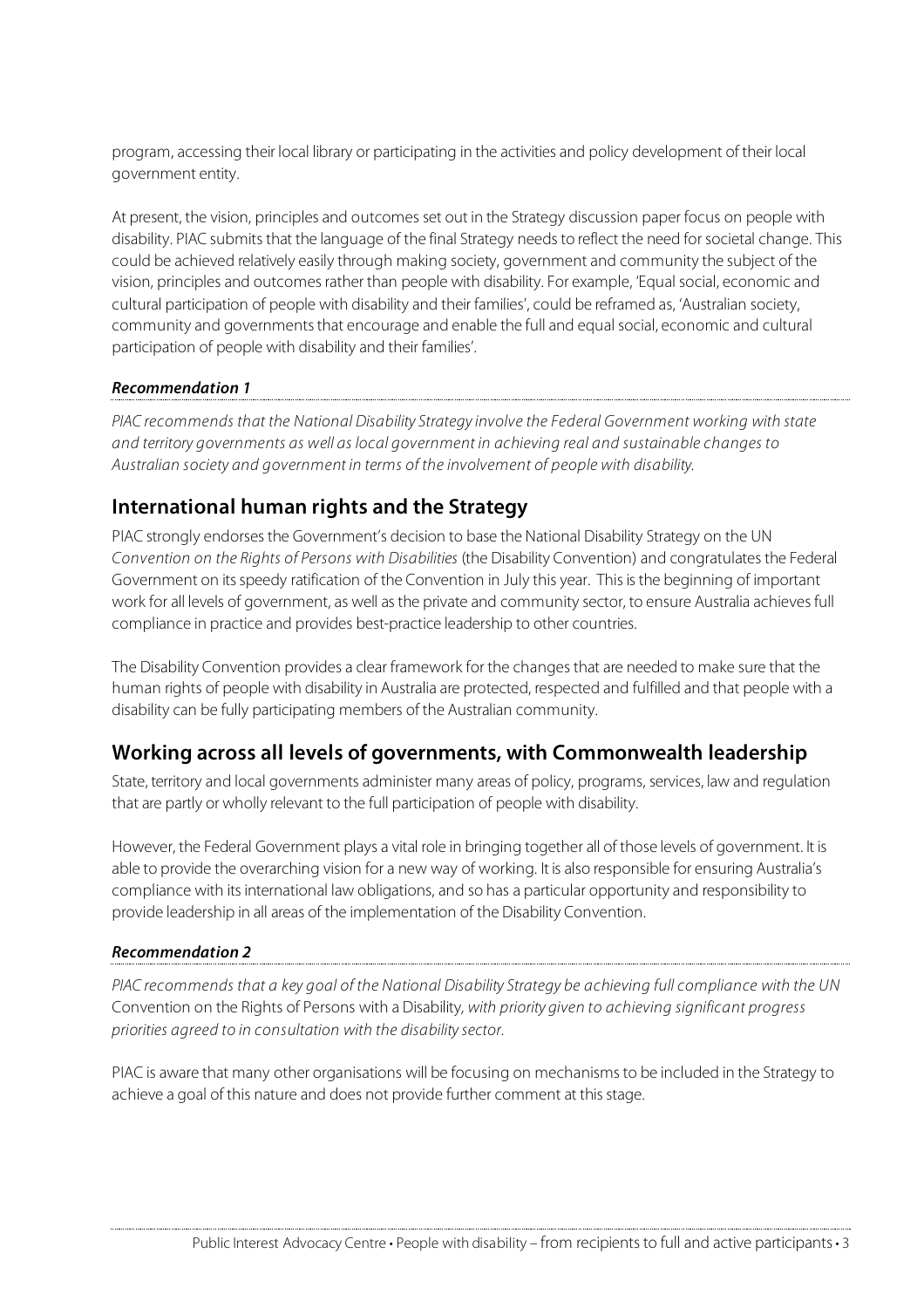program, accessing their local library or participating in the activities and policy development of their local government entity.

At present, the vision, principles and outcomes set out in the Strategy discussion paper focus on people with disability. PIAC submits that the language of the final Strategy needs to reflect the need for societal change. This could be achieved relatively easily through making society, government and community the subject of the vision, principles and outcomesrather than people with disability. For example, 'Equal social, economic and cultural participation of people with disability and their families', could be reframed as, 'Australian society, community and governments that encourage and enable the full and equal social, economic and cultural participation of people with disability and their families'.

#### **Recommendation 1**

PIAC recommends that the National Disability Strategy involve the Federal Government working with state and territory governments as well as local government in achieving real and sustainable changes to Australian society and government in terms of the involvement of people with disability.

### **International human rights and the Strategy**

PIAC strongly endorsesthe Government's decision to base the National Disability Strategy on the UN Convention on the Rights of Persons with Disabilities (the Disability Convention) and congratulates the Federal Government on its speedy ratification of the Convention in July this year. This is the beginning of important work for all levels of government, as well asthe private and community sector, to ensure Australia achievesfull compliance in practice and provides best-practice leadership to other countries.

The Disability Convention provides a clear framework for the changesthat are needed to make sure that the human rights of people with disability in Australia are protected, respected and fulfilled and that people with a disability can be fully participating members of the Australian community.

### **Working across all levels of governments, with Commonwealth leadership**

State, territory and local governments administer many areas of policy, programs, services, law and regulation that are partly or wholly relevant to the full participation of people with disability.

However, the Federal Government plays a vital role in bringing together all of those levels of government. It is able to provide the overarching vision for a new way of working. It is also responsible for ensuring Australia's compliance with itsinternational law obligations, and so has a particular opportunity and responsibility to provide leadership in all areas of the implementation of the Disability Convention.

#### **Recommendation 2**

PIAC recommends that a key goal of the National Disability Strategy be achieving full compliance with the UN Convention on the Rights of Persons with a Disability, with priority given to achieving significant progress priorities agreed to in consultation with the disability sector.

PIAC is aware that many other organisations will be focusing on mechanismsto be included in the Strategy to achieve a goal of this nature and does not provide further comment at this stage.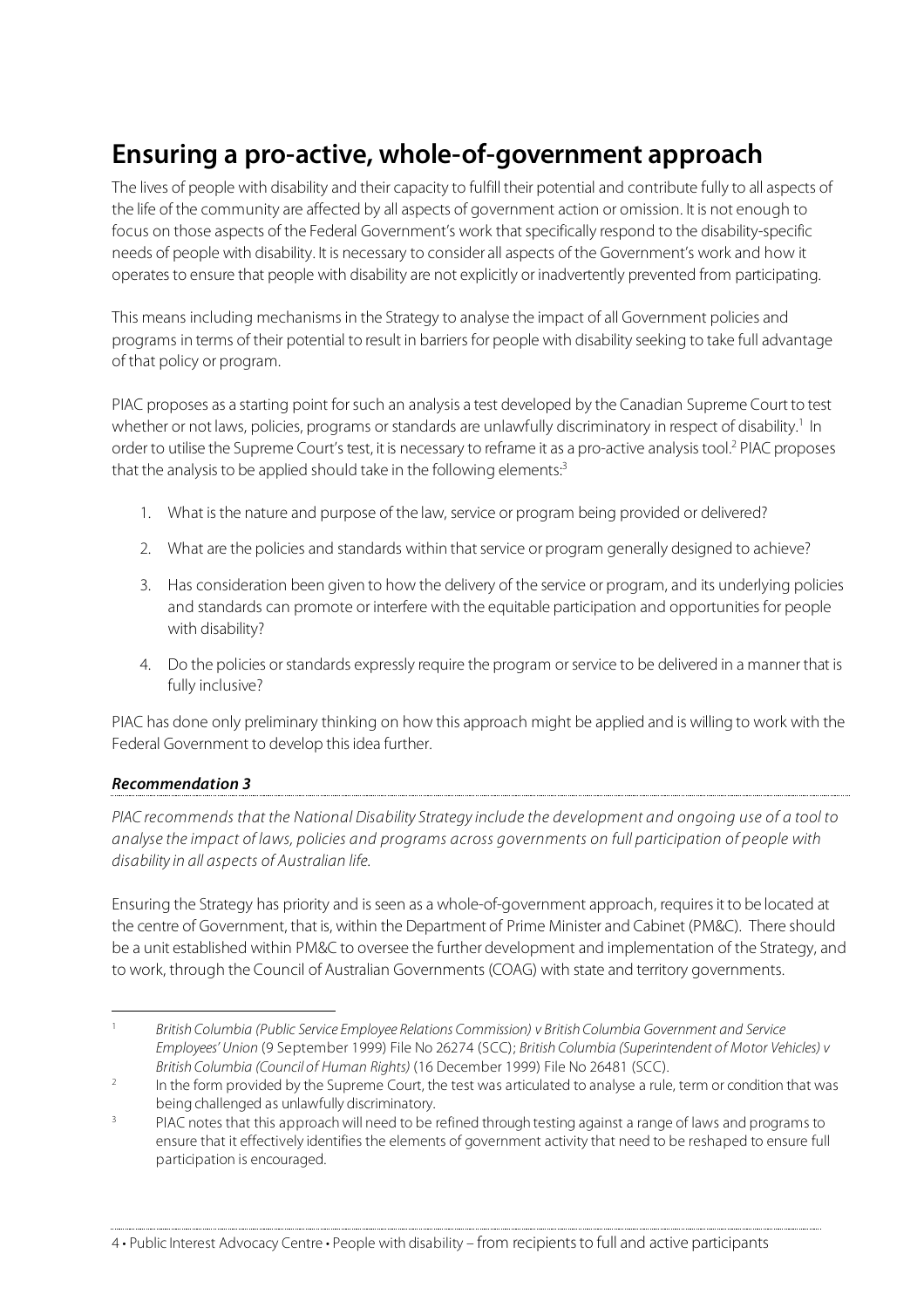# **Ensuring a pro-active, whole-of-government approach**

The lives of people with disability and their capacity to fulfill their potential and contribute fully to all aspects of the life of the community are affected by all aspects of government action or omission. It is not enough to focus on those aspects of the Federal Government's work that specifically respond to the disability-specific needs of people with disability. It is necessary to consider all aspects of the Government's work and how it operates to ensure that people with disability are not explicitly or inadvertently prevented from participating.

This means including mechanisms in the Strategy to analyse the impact of all Government policies and programs in terms of their potential to result in barriers for people with disability seeking to take full advantage of that policy or program.

PIAC proposes as a starting point forsuch an analysis a test developed by the Canadian Supreme Court to test whether or not laws, policies, programs or standards are unlawfully discriminatory in respect of disability. <sup>1</sup> In order to utilise the Supreme Court's test, it is necessary to reframe it as a pro-active analysis tool.<sup>2</sup> PIAC proposes that the analysis to be applied should take in the following elements.<sup>3</sup>

- 1. What is the nature and purpose of the law, service or program being provided or delivered?
- 2. What are the policies and standards within that service or program generally designed to achieve?
- 3. Has consideration been given to how the delivery of the service or program, and its underlying policies and standards can promote or interfere with the equitable participation and opportunities for people with disability?
- 4. Do the policies or standards expressly require the program or service to be delivered in a manner that is fully inclusive?

PIAC has done only preliminary thinking on how this approach might be applied and is willing to work with the Federal Government to develop this idea further.

#### **Recommendation 3**

PIAC recommends that the National Disability Strategy include the development and ongoing use of a tool to analyse the impact of laws, policies and programs across governments on full participation of people with disability in all aspects of Australian life.

Ensuring the Strategy has priority and isseen as a whole-of-government approach, requiresit to be located at the centre of Government, that is, within the Department of Prime Minister and Cabinet (PM&C). There should be a unit established within PM&C to oversee the further development and implementation of the Strategy, and to work, through the Council of Australian Governments (COAG) with state and territory governments.

4 • Public Interest Advocacy Centre • People with disability – from recipientsto full and active participants

 <sup>1</sup> British Columbia (Public Service Employee Relations Commission) <sup>v</sup> British Columbia Government and Service Employees' Union (9 September 1999) File No 26274 (SCC); British Columbia (Superintendent of Motor Vehicles) v British Columbia (Council of Human Rights) (16 December 1999) File No 26481 (SCC).

<sup>&</sup>lt;sup>2</sup> In the form provided by the Supreme Court, the test was articulated to analyse a rule, term or condition that was being challenged as unlawfully discriminatory.

<sup>&</sup>lt;sup>3</sup> PIAC notes that this approach will need to be refined through testing against a range of laws and programs to ensure that it effectively identifies the elements of government activity that need to be reshaped to ensure full participation is encouraged.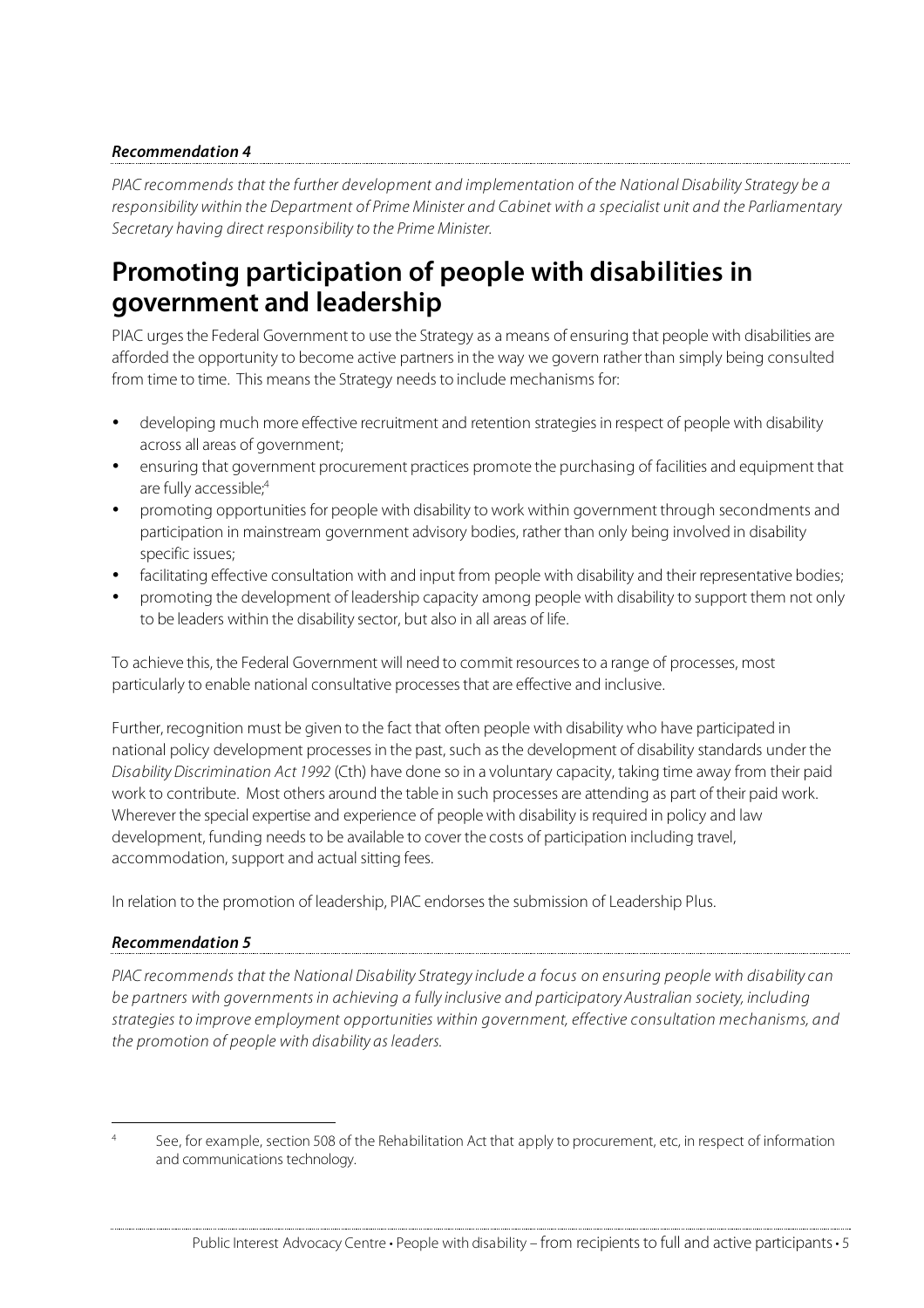#### **Recommendation 4**

PIAC recommends that the further development and implementation of the National Disability Strategy be a responsibility within the Department of Prime Minister and Cabinet with a specialist unit and the Parliamentary Secretary having direct responsibility to the Prime Minister.

## **Promoting participation of people with disabilities in government and leadership**

PIAC urgesthe Federal Government to use the Strategy as a means of ensuring that people with disabilities are afforded the opportunity to become active partners in the way we govern rather than simply being consulted from time to time. This means the Strategy needs to include mechanisms for:

- developing much more effective recruitment and retention strategiesin respect of people with disability across all areas of government;
- ensuring that government procurement practices promote the purchasing of facilities and equipment that are fully accessible; 4
- promoting opportunities for people with disability to work within government through secondments and participation in mainstream government advisory bodies, rather than only being involved in disability specific issues;
- facilitating effective consultation with and input from people with disability and their representative bodies;
- promoting the development of leadership capacity among people with disability to support them not only to be leaders within the disability sector, but also in all areas of life.

To achieve this, the Federal Government will need to commit resources to a range of processes, most particularly to enable national consultative processesthat are effective and inclusive.

Further, recognition must be given to the fact that often people with disability who have participated in national policy development processesin the past, such asthe development of disability standards under the Disability Discrimination Act 1992 (Cth) have done so in a voluntary capacity, taking time away from their paid work to contribute. Most others around the table in such processes are attending as part of their paid work. Wherever the special expertise and experience of people with disability is required in policy and law development, funding needs to be available to cover the costs of participation including travel, accommodation, support and actual sitting fees.

In relation to the promotion of leadership, PIAC endorsesthe submission of Leadership Plus.

#### **Recommendation 5**

PIAC recommends that the National Disability Strategy include a focus on ensuring people with disability can be partners with governments in achieving a fully inclusive and participatory Australian society, including strategies to improve employment opportunities within government, effective consultation mechanisms, and the promotion of people with disability as leaders.

See, for example, section 508 of the Rehabilitation Act that apply to procurement, etc, in respect of information and communications technology.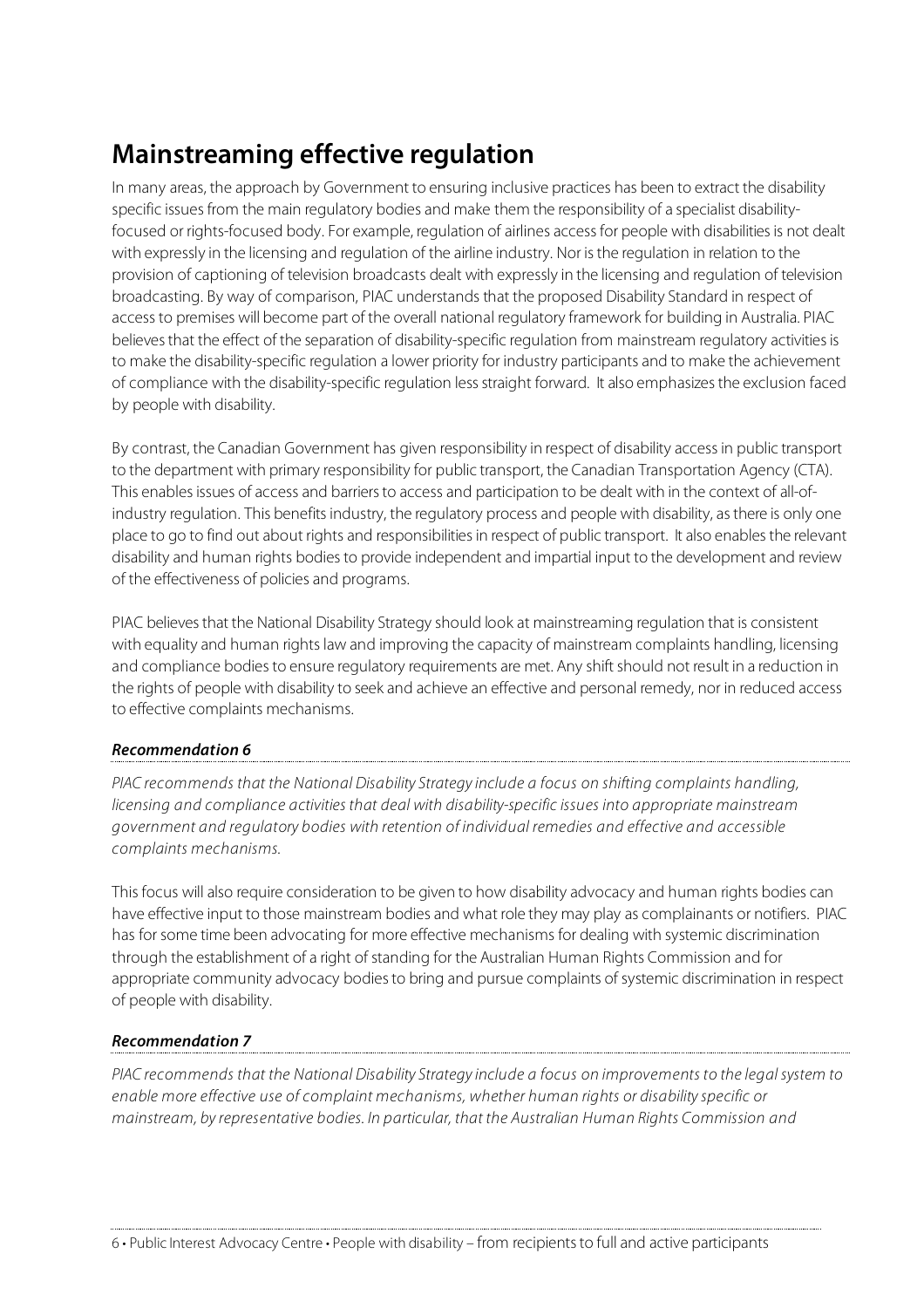# **Mainstreaming effective regulation**

In many areas, the approach by Government to ensuring inclusive practices has been to extract the disability specific issues from the main regulatory bodies and make them the responsibility of a specialist disabilityfocused or rights-focused body. For example, regulation of airlines access for people with disabilities is not dealt with expressly in the licensing and regulation of the airline industry. Nor isthe regulation in relation to the provision of captioning of television broadcasts dealt with expressly in the licensing and regulation of television broadcasting. By way of comparison, PIAC understands that the proposed Disability Standard in respect of accessto premises will become part of the overall national regulatory framework for building in Australia. PIAC believesthat the effect of the separation of disability-specific regulation from mainstream regulatory activitiesis to make the disability-specific regulation a lower priority for industry participants and to make the achievement of compliance with the disability-specific regulation less straight forward. It also emphasizes the exclusion faced by people with disability.

By contrast, the Canadian Government has given responsibility in respect of disability accessin public transport to the department with primary responsibility for public transport, the Canadian Transportation Agency (CTA). This enables issues of access and barriers to access and participation to be dealt with in the context of all-ofindustry regulation. This benefits industry, the regulatory process and people with disability, as there is only one place to go to find out about rights and responsibilities in respect of public transport. It also enables the relevant disability and human rights bodiesto provide independent and impartial input to the development and review of the effectiveness of policies and programs.

PIAC believesthat the National Disability Strategy should look at mainstreaming regulation that is consistent with equality and human rights law and improving the capacity of mainstream complaints handling, licensing and compliance bodies to ensure regulatory requirements are met. Any shift should not result in a reduction in the rights of people with disability to seek and achieve an effective and personal remedy, nor in reduced access to effective complaints mechanisms.

#### **Recommendation 6**

PIAC recommends that the National Disability Strategy include a focus on shifting complaints handling, licensing and compliance activities that deal with disability-specific issues into appropriate mainstream government and regulatory bodies with retention of individual remedies and effective and accessible complaints mechanisms.

This focus will also require consideration to be given to how disability advocacy and human rights bodies can have effective input to those mainstream bodies and what role they may play as complainants or notifiers. PIAC has for some time been advocating for more effective mechanisms for dealing with systemic discrimination through the establishment of a right of standing for the Australian Human Rights Commission and for appropriate community advocacy bodies to bring and pursue complaints of systemic discrimination in respect of people with disability.

#### **Recommendation 7**

PIAC recommends that the National Disability Strategy include a focus on improvements to the legal system to enable more effective use of complaint mechanisms, whether human rights or disability specific or mainstream, by representative bodies. In particular, that the Australian Human Rights Commission and